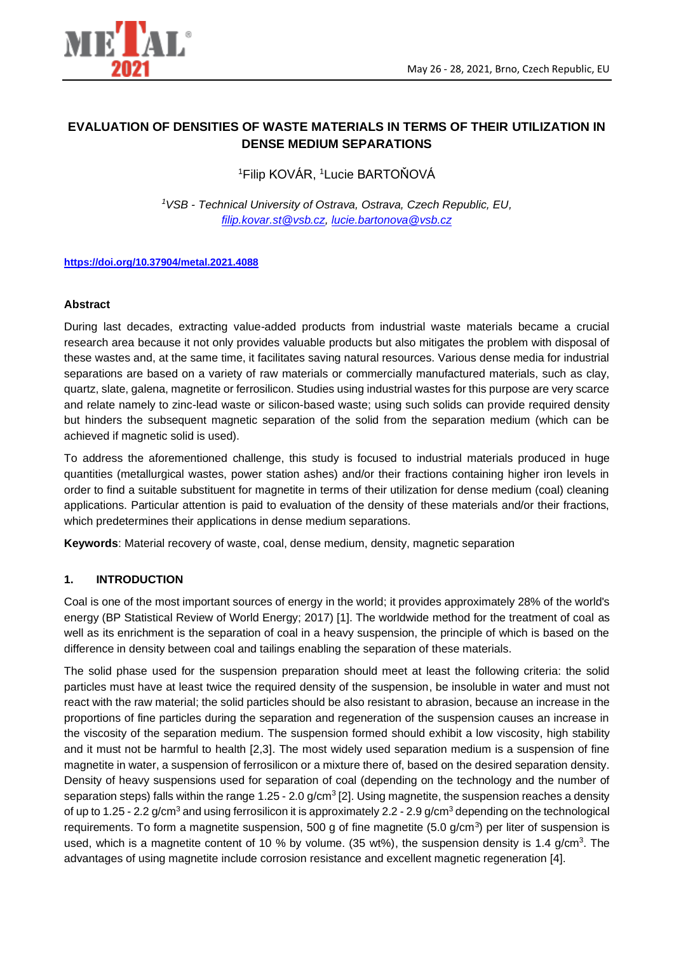

# **EVALUATION OF DENSITIES OF WASTE MATERIALS IN TERMS OF THEIR UTILIZATION IN DENSE MEDIUM SEPARATIONS**

<sup>1</sup>Filip KOVÁR, <sup>1</sup>Lucie BARTOŇOVÁ

*<sup>1</sup>VSB - Technical University of Ostrava, Ostrava, Czech Republic, EU, [filip.kovar.st@vsb.cz,](https://www.vsb.cz/personCards/personCard.jsp?lang=cs&person=KOV0187) [lucie.bartonova@vsb.cz](https://www.vsb.cz/personCards/personCard.jsp?lang=cs&person=bar57)*

#### **<https://doi.org/10.37904/metal.2021.4088>**

#### **Abstract**

During last decades, extracting value-added products from industrial waste materials became a crucial research area because it not only provides valuable products but also mitigates the problem with disposal of these wastes and, at the same time, it facilitates saving natural resources. Various dense media for industrial separations are based on a variety of raw materials or commercially manufactured materials, such as clay, quartz, slate, galena, magnetite or ferrosilicon. Studies using industrial wastes for this purpose are very scarce and relate namely to zinc-lead waste or silicon-based waste; using such solids can provide required density but hinders the subsequent magnetic separation of the solid from the separation medium (which can be achieved if magnetic solid is used).

To address the aforementioned challenge, this study is focused to industrial materials produced in huge quantities (metallurgical wastes, power station ashes) and/or their fractions containing higher iron levels in order to find a suitable substituent for magnetite in terms of their utilization for dense medium (coal) cleaning applications. Particular attention is paid to evaluation of the density of these materials and/or their fractions, which predetermines their applications in dense medium separations.

**Keywords**: Material recovery of waste, coal, dense medium, density, magnetic separation

### **1. INTRODUCTION**

Coal is one of the most important sources of energy in the world; it provides approximately 28% of the world's energy (BP Statistical Review of World Energy; 2017) [1]. The worldwide method for the treatment of coal as well as its enrichment is the separation of coal in a heavy suspension, the principle of which is based on the difference in density between coal and tailings enabling the separation of these materials.

The solid phase used for the suspension preparation should meet at least the following criteria: the solid particles must have at least twice the required density of the suspension, be insoluble in water and must not react with the raw material; the solid particles should be also resistant to abrasion, because an increase in the proportions of fine particles during the separation and regeneration of the suspension causes an increase in the viscosity of the separation medium. The suspension formed should exhibit a low viscosity, high stability and it must not be harmful to health [2,3]. The most widely used separation medium is a suspension of fine magnetite in water, a suspension of ferrosilicon or a mixture there of, based on the desired separation density. Density of heavy suspensions used for separation of coal (depending on the technology and the number of separation steps) falls within the range 1.25 - 2.0  $g/cm<sup>3</sup>[2]$ . Using magnetite, the suspension reaches a density of up to 1.25 - 2.2 g/cm<sup>3</sup> and using ferrosilicon it is approximately 2.2 - 2.9 g/cm<sup>3</sup> depending on the technological requirements. To form a magnetite suspension, 500 g of fine magnetite  $(5.0 \text{ g/cm}^3)$  per liter of suspension is used, which is a magnetite content of 10 % by volume. (35 wt%), the suspension density is 1.4 g/cm<sup>3</sup>. The advantages of using magnetite include corrosion resistance and excellent magnetic regeneration [4].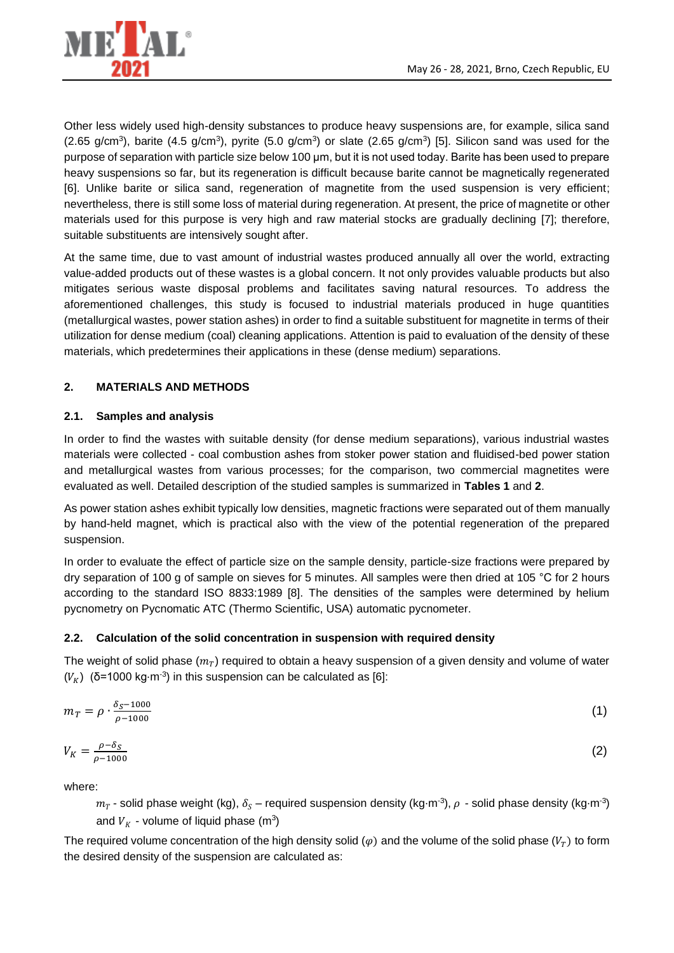

Other less widely used high-density substances to produce heavy suspensions are, for example, silica sand (2.65 g/cm<sup>3</sup>), barite (4.5 g/cm<sup>3</sup>), pyrite (5.0 g/cm<sup>3</sup>) or slate (2.65 g/cm<sup>3</sup>) [5]. Silicon sand was used for the purpose of separation with particle size below 100 µm, but it is not used today. Barite has been used to prepare heavy suspensions so far, but its regeneration is difficult because barite cannot be magnetically regenerated [6]. Unlike barite or silica sand, regeneration of magnetite from the used suspension is very efficient; nevertheless, there is still some loss of material during regeneration. At present, the price of magnetite or other materials used for this purpose is very high and raw material stocks are gradually declining [7]; therefore, suitable substituents are intensively sought after.

At the same time, due to vast amount of industrial wastes produced annually all over the world, extracting value-added products out of these wastes is a global concern. It not only provides valuable products but also mitigates serious waste disposal problems and facilitates saving natural resources. To address the aforementioned challenges, this study is focused to industrial materials produced in huge quantities (metallurgical wastes, power station ashes) in order to find a suitable substituent for magnetite in terms of their utilization for dense medium (coal) cleaning applications. Attention is paid to evaluation of the density of these materials, which predetermines their applications in these (dense medium) separations.

# **2. MATERIALS AND METHODS**

### **2.1. Samples and analysis**

In order to find the wastes with suitable density (for dense medium separations), various industrial wastes materials were collected - coal combustion ashes from stoker power station and fluidised-bed power station and metallurgical wastes from various processes; for the comparison, two commercial magnetites were evaluated as well. Detailed description of the studied samples is summarized in **Tables 1** and **2**.

As power station ashes exhibit typically low densities, magnetic fractions were separated out of them manually by hand-held magnet, which is practical also with the view of the potential regeneration of the prepared suspension.

In order to evaluate the effect of particle size on the sample density, particle-size fractions were prepared by dry separation of 100 g of sample on sieves for 5 minutes. All samples were then dried at 105 °C for 2 hours according to the standard ISO 8833:1989 [8]. The densities of the samples were determined by helium pycnometry on Pycnomatic ATC (Thermo Scientific, USA) automatic pycnometer.

### **2.2. Calculation of the solid concentration in suspension with required density**

The weight of solid phase  $(m_T)$  required to obtain a heavy suspension of a given density and volume of water  $(V_K)$  (δ=1000 kg⋅m<sup>-3</sup>) in this suspension can be calculated as [6]:

$$
m_T = \rho \cdot \frac{\delta_{S^{-1000}}}{\rho^{-1000}} \tag{1}
$$

$$
V_K = \frac{\rho - \delta_S}{\rho - 1000} \tag{2}
$$

where:

 $m_T$  - solid phase weight (kg),  $\delta_S$  – required suspension density (kg⋅m<sup>-3</sup>),  $\rho$  - solid phase density (kg⋅m<sup>-3</sup>) and  $\overline{V}_K$  *-* volume of liquid phase (m<sup>3</sup>)

The required volume concentration of the high density solid  $(\varphi)$  and the volume of the solid phase  $(V_T)$  to form the desired density of the suspension are calculated as: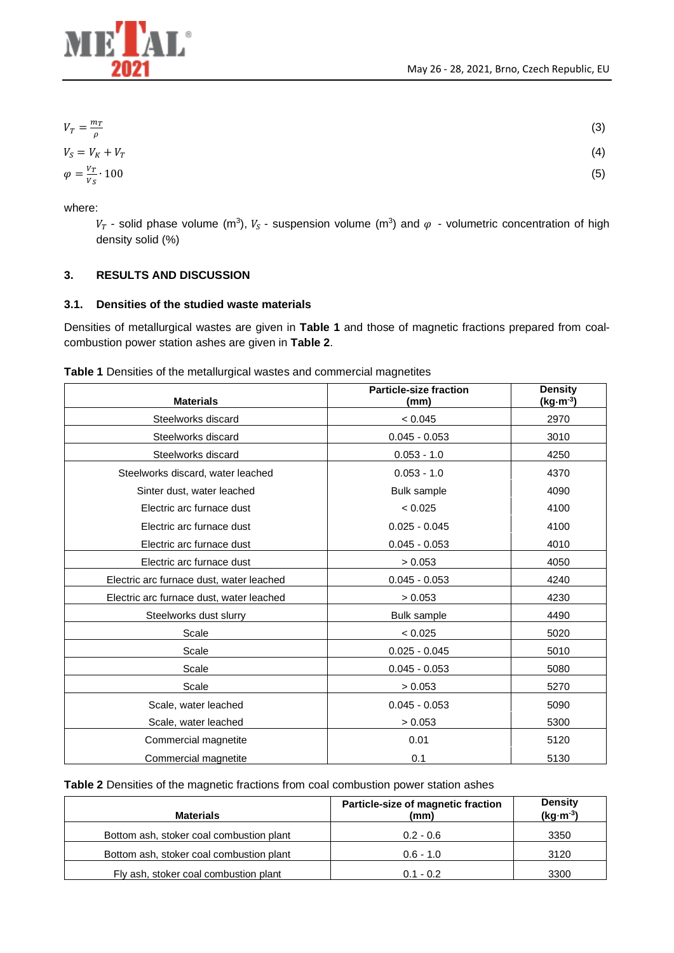

$$
V_T = \frac{m_T}{\rho}
$$
  
\n
$$
V_S = V_K + V_T
$$
  
\n
$$
\varphi = \frac{V_T}{V} \cdot 100
$$
\n(3)

where:

Vs

 $V_T$  - solid phase volume (m<sup>3</sup>),  $V_S$  - suspension volume (m<sup>3</sup>) and  $\varphi$  - volumetric concentration of high density solid (%)

# **3. RESULTS AND DISCUSSION**

### **3.1. Densities of the studied waste materials**

Densities of metallurgical wastes are given in **Table 1** and those of magnetic fractions prepared from coalcombustion power station ashes are given in **Table 2**.

|  | Table 1 Densities of the metallurgical wastes and commercial magnetites |  |  |
|--|-------------------------------------------------------------------------|--|--|
|  |                                                                         |  |  |

| <b>Materials</b>                         | <b>Particle-size fraction</b><br>(mm) | <b>Density</b><br>$(kg·m-3)$ |
|------------------------------------------|---------------------------------------|------------------------------|
| Steelworks discard                       | < 0.045                               | 2970                         |
| Steelworks discard                       | $0.045 - 0.053$                       | 3010                         |
| Steelworks discard                       | $0.053 - 1.0$                         | 4250                         |
| Steelworks discard, water leached        | $0.053 - 1.0$                         | 4370                         |
| Sinter dust, water leached               | <b>Bulk sample</b>                    | 4090                         |
| Electric arc furnace dust                | < 0.025                               | 4100                         |
| Electric arc furnace dust                | $0.025 - 0.045$                       | 4100                         |
| Electric arc furnace dust                | $0.045 - 0.053$                       | 4010                         |
| Electric arc furnace dust                | > 0.053                               | 4050                         |
| Electric arc furnace dust, water leached | $0.045 - 0.053$                       | 4240                         |
| Electric arc furnace dust, water leached | > 0.053                               | 4230                         |
| Steelworks dust slurry                   | <b>Bulk sample</b>                    | 4490                         |
| Scale                                    | < 0.025                               | 5020                         |
| Scale                                    | $0.025 - 0.045$                       | 5010                         |
| Scale                                    | $0.045 - 0.053$                       | 5080                         |
| Scale                                    | > 0.053                               | 5270                         |
| Scale, water leached                     | $0.045 - 0.053$                       | 5090                         |
| Scale, water leached                     | > 0.053                               | 5300                         |
| Commercial magnetite                     | 0.01                                  | 5120                         |
| Commercial magnetite                     | 0.1                                   | 5130                         |

**Table 2** Densities of the magnetic fractions from coal combustion power station ashes

| <b>Materials</b>                         | Particle-size of magnetic fraction<br>(mm) | <b>Density</b><br>$(kg·m-3)$ |
|------------------------------------------|--------------------------------------------|------------------------------|
| Bottom ash, stoker coal combustion plant | $0.2 - 0.6$                                | 3350                         |
| Bottom ash, stoker coal combustion plant | $0.6 - 1.0$                                | 3120                         |
| Fly ash, stoker coal combustion plant    | $0.1 - 0.2$                                | 3300                         |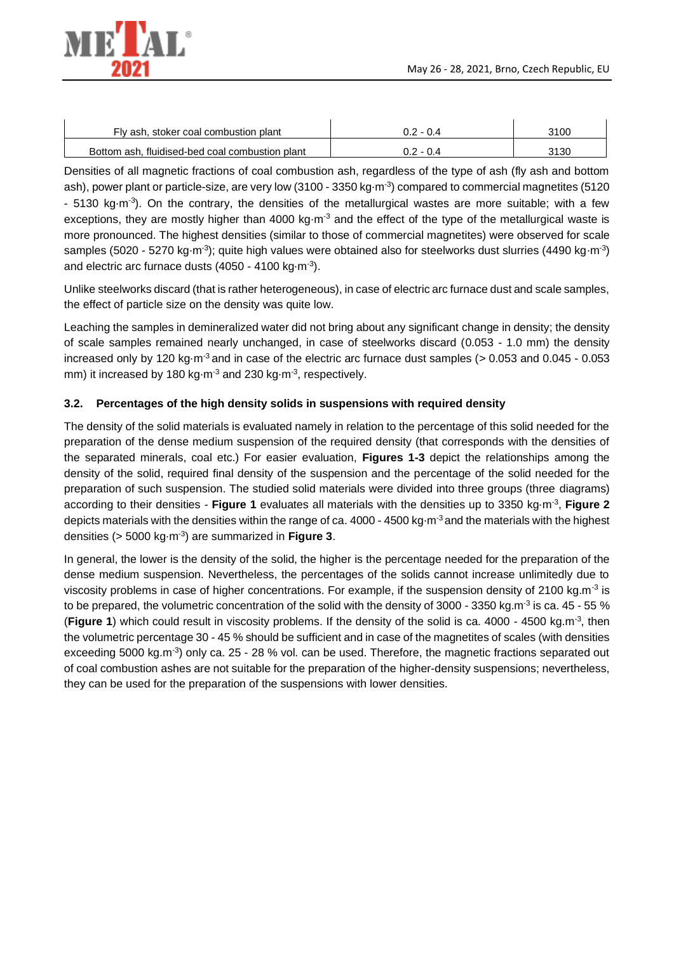

| Fly ash, stoker coal combustion plant           | ነ 2 - በ 4 | 3100 |
|-------------------------------------------------|-----------|------|
| Bottom ash. fluidised-bed coal combustion plant | ) 2 - በ 4 | 3130 |

Densities of all magnetic fractions of coal combustion ash, regardless of the type of ash (fly ash and bottom ash), power plant or particle-size, are very low (3100 - 3350 kg⋅m<sup>-3</sup>) compared to commercial magnetites (5120 - 5130 kg⋅m<sup>-3</sup>). On the contrary, the densities of the metallurgical wastes are more suitable; with a few exceptions, they are mostly higher than 4000 kg⋅m<sup>-3</sup> and the effect of the type of the metallurgical waste is more pronounced. The highest densities (similar to those of commercial magnetites) were observed for scale samples (5020 - 5270 kg⋅m<sup>-3</sup>); quite high values were obtained also for steelworks dust slurries (4490 kg⋅m<sup>-3</sup>) and electric arc furnace dusts  $(4050 - 4100 \text{ kg} \cdot \text{m}^{-3})$ .

Unlike steelworks discard (that is rather heterogeneous), in case of electric arc furnace dust and scale samples, the effect of particle size on the density was quite low.

Leaching the samples in demineralized water did not bring about any significant change in density; the density of scale samples remained nearly unchanged, in case of steelworks discard (0.053 - 1.0 mm) the density increased only by 120 kg⋅m-3 and in case of the electric arc furnace dust samples (> 0.053 and 0.045 - 0.053 mm) it increased by 180 kg⋅m<sup>-3</sup> and 230 kg⋅m<sup>-3</sup>, respectively.

### **3.2. Percentages of the high density solids in suspensions with required density**

The density of the solid materials is evaluated namely in relation to the percentage of this solid needed for the preparation of the dense medium suspension of the required density (that corresponds with the densities of the separated minerals, coal etc.) For easier evaluation, **Figures 1-3** depict the relationships among the density of the solid, required final density of the suspension and the percentage of the solid needed for the preparation of such suspension. The studied solid materials were divided into three groups (three diagrams) according to their densities - **Figure 1** evaluates all materials with the densities up to 3350 kg⋅m-3 , **Figure 2** depicts materials with the densities within the range of ca. 4000 - 4500 kg⋅m<sup>-3</sup> and the materials with the highest densities (> 5000 kg⋅m-3 ) are summarized in **Figure 3**.

In general, the lower is the density of the solid, the higher is the percentage needed for the preparation of the dense medium suspension. Nevertheless, the percentages of the solids cannot increase unlimitedly due to viscosity problems in case of higher concentrations. For example, if the suspension density of 2100 kg.m<sup>-3</sup> is to be prepared, the volumetric concentration of the solid with the density of 3000 - 3350 kg.m<sup>-3</sup> is ca. 45 - 55 % (Figure 1) which could result in viscosity problems. If the density of the solid is ca. 4000 - 4500 kg.m<sup>-3</sup>, then the volumetric percentage 30 - 45 % should be sufficient and in case of the magnetites of scales (with densities exceeding 5000 kg.m<sup>-3</sup>) only ca. 25 - 28 % vol. can be used. Therefore, the magnetic fractions separated out of coal combustion ashes are not suitable for the preparation of the higher-density suspensions; nevertheless, they can be used for the preparation of the suspensions with lower densities.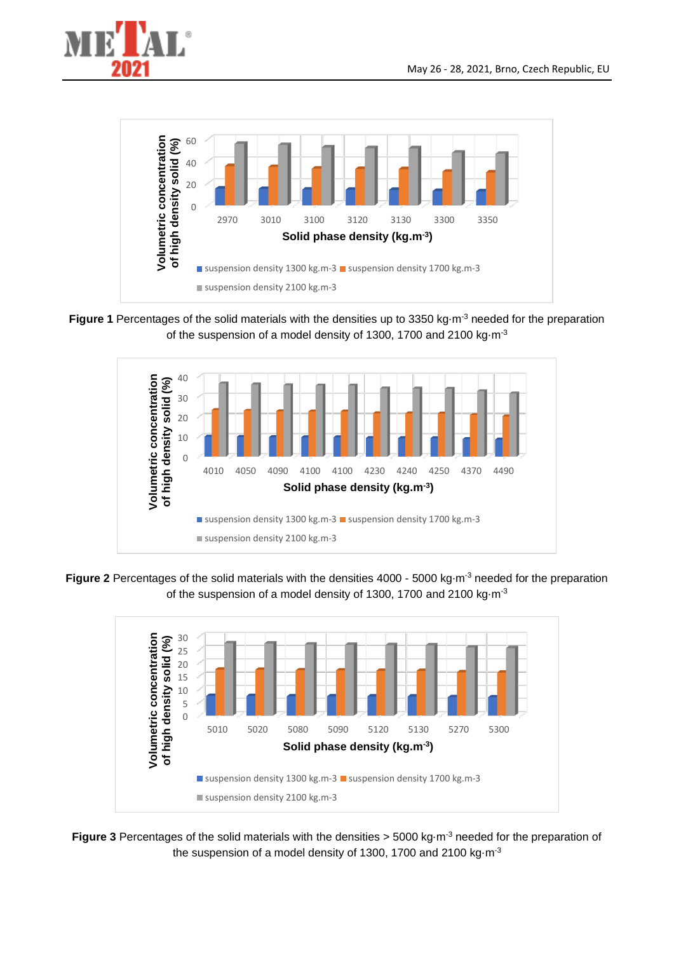



**Figure 1** Percentages of the solid materials with the densities up to 3350 kg⋅m<sup>-3</sup> needed for the preparation of the suspension of a model density of 1300, 1700 and 2100 kg⋅m<sup>-3</sup>



**Figure 2** Percentages of the solid materials with the densities 4000 - 5000 kg⋅m<sup>-3</sup> needed for the preparation of the suspension of a model density of 1300, 1700 and 2100 kg⋅m<sup>-3</sup>



**Figure 3** Percentages of the solid materials with the densities > 5000 kg⋅m<sup>-3</sup> needed for the preparation of the suspension of a model density of 1300, 1700 and 2100 kg⋅m<sup>-3</sup>